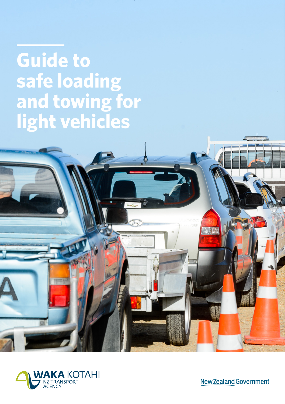**Guide to safe loading and towing for light vehicles**



New Zealand Government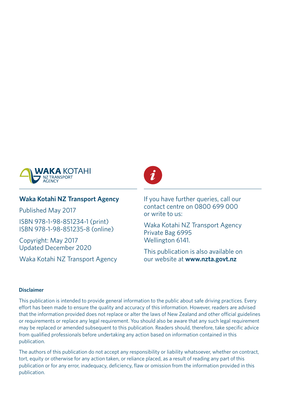

#### **Waka Kotahi NZ Transport Agency**

Published May 2017

ISBN 978-1-98-851234-1 (print) ISBN 978-1-98-851235-8 (online)

Copyright: May 2017 Updated December 2020

Waka Kotahi NZ Transport Agency



If you have further queries, call our contact centre on 0800 699 000 or write to us:

Waka Kotahi NZ Transport Agency Private Bag 6995 Wellington 6141.

This publication is also available on our website at **www.nzta.govt.nz**

#### **Disclaimer**

This publication is intended to provide general information to the public about safe driving practices. Every effort has been made to ensure the quality and accuracy of this information. However, readers are advised that the information provided does not replace or alter the laws of New Zealand and other official guidelines or requirements or replace any legal requirement. You should also be aware that any such legal requirement may be replaced or amended subsequent to this publication. Readers should, therefore, take specific advice from qualified professionals before undertaking any action based on information contained in this publication.

The authors of this publication do not accept any responsibility or liability whatsoever, whether on contract, tort, equity or otherwise for any action taken, or reliance placed, as a result of reading any part of this publication or for any error, inadequacy, deficiency, flaw or omission from the information provided in this publication.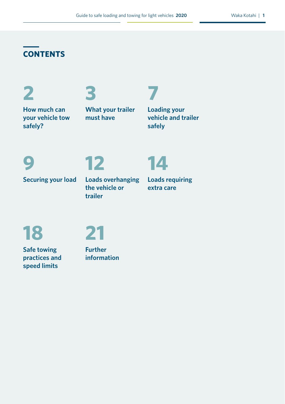## **CONTENTS**

**2**

## **3**

**How much can your vehicle tow safely?**

**What your trailer must have**

**Loading your vehicle and trailer safely**

**7**

## **9**

# **12**

**Securing your load**

## **Loads overhanging the vehicle or trailer**

**Loads requiring extra care**

**14**

**18**



**Safe towing practices and speed limits**

**Further information**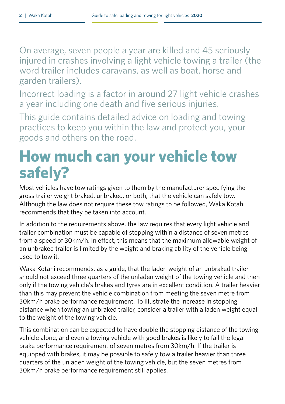On average, seven people a year are killed and 45 seriously injured in crashes involving a light vehicle towing a trailer (the word trailer includes caravans, as well as boat, horse and garden trailers).

Incorrect loading is a factor in around 27 light vehicle crashes a year including one death and five serious injuries.

This guide contains detailed advice on loading and towing practices to keep you within the law and protect you, your goods and others on the road.

## **How much can your vehicle tow safely?**

Most vehicles have tow ratings given to them by the manufacturer specifying the gross trailer weight braked, unbraked, or both, that the vehicle can safely tow. Although the law does not require these tow ratings to be followed, Waka Kotahi recommends that they be taken into account.

In addition to the requirements above, the law requires that every light vehicle and trailer combination must be capable of stopping within a distance of seven metres from a speed of 30km/h. In effect, this means that the maximum allowable weight of an unbraked trailer is limited by the weight and braking ability of the vehicle being used to tow it.

Waka Kotahi recommends, as a guide, that the laden weight of an unbraked trailer should not exceed three quarters of the unladen weight of the towing vehicle and then only if the towing vehicle's brakes and tyres are in excellent condition. A trailer heavier than this may prevent the vehicle combination from meeting the seven metre from 30km/h brake performance requirement. To illustrate the increase in stopping distance when towing an unbraked trailer, consider a trailer with a laden weight equal to the weight of the towing vehicle.

This combination can be expected to have double the stopping distance of the towing vehicle alone, and even a towing vehicle with good brakes is likely to fail the legal brake performance requirement of seven metres from 30km/h. If the trailer is equipped with brakes, it may be possible to safely tow a trailer heavier than three quarters of the unladen weight of the towing vehicle, but the seven metres from 30km/h brake performance requirement still applies.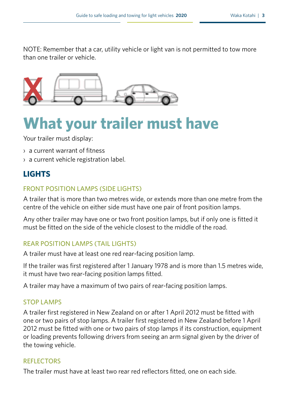NOTE: Remember that a car, utility vehicle or light van is not permitted to tow more than one trailer or vehicle.



## **What your trailer must have**

Your trailer must display:

- › a current warrant of fitness
- › a current vehicle registration label.

## **LIGHTS**

#### FRONT POSITION LAMPS (SIDE LIGHTS)

A trailer that is more than two metres wide, or extends more than one metre from the centre of the vehicle on either side must have one pair of front position lamps.

Any other trailer may have one or two front position lamps, but if only one is fitted it must be fitted on the side of the vehicle closest to the middle of the road.

#### REAR POSITION LAMPS (TAIL LIGHTS)

A trailer must have at least one red rear-facing position lamp.

If the trailer was first registered after 1 January 1978 and is more than 1.5 metres wide, it must have two rear-facing position lamps fitted.

A trailer may have a maximum of two pairs of rear-facing position lamps.

#### STOP LAMPS

A trailer first registered in New Zealand on or after 1 April 2012 must be fitted with one or two pairs of stop lamps. A trailer first registered in New Zealand before 1 April 2012 must be fitted with one or two pairs of stop lamps if its construction, equipment or loading prevents following drivers from seeing an arm signal given by the driver of the towing vehicle.

#### REFLECTORS

The trailer must have at least two rear red reflectors fitted, one on each side.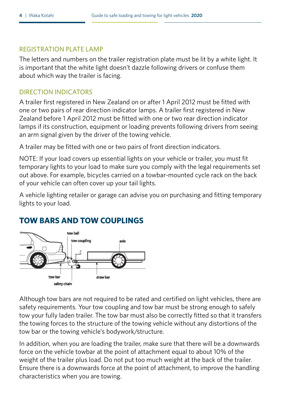#### REGISTRATION PLATE LAMP

The letters and numbers on the trailer registration plate must be lit by a white light. It is important that the white light doesn't dazzle following drivers or confuse them about which way the trailer is facing.

#### DIRECTION INDICATORS

A trailer first registered in New Zealand on or after 1 April 2012 must be fitted with one or two pairs of rear direction indicator lamps. A trailer first registered in New Zealand before 1 April 2012 must be fitted with one or two rear direction indicator lamps if its construction, equipment or loading prevents following drivers from seeing an arm signal given by the driver of the towing vehicle.

A trailer may be fitted with one or two pairs of front direction indicators.

NOTE: If your load covers up essential lights on your vehicle or trailer, you must fit temporary lights to your load to make sure you comply with the legal requirements set out above. For example, bicycles carried on a towbar-mounted cycle rack on the back of your vehicle can often cover up your tail lights.

A vehicle lighting retailer or garage can advise you on purchasing and fitting temporary lights to your load.

### **TOW BARS AND TOW COUPLINGS**



Although tow bars are not required to be rated and certified on light vehicles, there are safety requirements. Your tow coupling and tow bar must be strong enough to safely tow your fully laden trailer. The tow bar must also be correctly fitted so that it transfers the towing forces to the structure of the towing vehicle without any distortions of the tow bar or the towing vehicle's bodywork/structure.

In addition, when you are loading the trailer, make sure that there will be a downwards force on the vehicle towbar at the point of attachment equal to about 10% of the weight of the trailer plus load. Do not put too much weight at the back of the trailer. Ensure there is a downwards force at the point of attachment, to improve the handling characteristics when you are towing.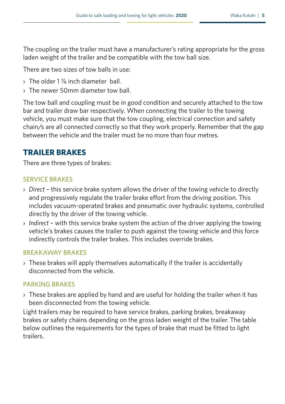The coupling on the trailer must have a manufacturer's rating appropriate for the gross laden weight of the trailer and be compatible with the tow ball size.

There are two sizes of tow balls in use:

- › The older 1 ⅞ inch diameter ball.
- › The newer 50mm diameter tow ball.

The tow ball and coupling must be in good condition and securely attached to the tow bar and trailer draw bar respectively. When connecting the trailer to the towing vehicle, you must make sure that the tow coupling, electrical connection and safety chain/s are all connected correctly so that they work properly. Remember that the gap between the vehicle and the trailer must be no more than four metres.

## **TRAILER BRAKES**

There are three types of brakes:

#### SERVICE BRAKES

- › *Direct* this service brake system allows the driver of the towing vehicle to directly and progressively regulate the trailer brake effort from the driving position. This includes vacuum-operated brakes and pneumatic over hydraulic systems, controlled directly by the driver of the towing vehicle.
- › *Indirect* with this service brake system the action of the driver applying the towing vehicle's brakes causes the trailer to push against the towing vehicle and this force indirectly controls the trailer brakes. This includes override brakes.

#### BREAKAWAY BRAKES

› These brakes will apply themselves automatically if the trailer is accidentally disconnected from the vehicle.

#### PARKING BRAKES

 $\rightarrow$  These brakes are applied by hand and are useful for holding the trailer when it has been disconnected from the towing vehicle.

Light trailers may be required to have service brakes, parking brakes, breakaway brakes or safety chains depending on the gross laden weight of the trailer. The table below outlines the requirements for the types of brake that must be fitted to light trailers.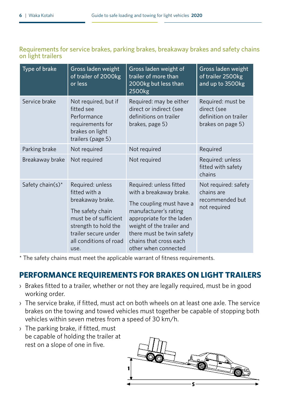#### Requirements for service brakes, parking brakes, breakaway brakes and safety chains on light trailers

| Type of brake                | Gross laden weight<br>of trailer of 2000kg<br>or less                                                                                                                                | Gross laden weight of<br>trailer of more than<br>2000kg but less than<br>2500kg                                                                                                                                                                  | Gross laden weight<br>of trailer 2500kg<br>and up to 3500kg                    |
|------------------------------|--------------------------------------------------------------------------------------------------------------------------------------------------------------------------------------|--------------------------------------------------------------------------------------------------------------------------------------------------------------------------------------------------------------------------------------------------|--------------------------------------------------------------------------------|
| Service brake                | Not required, but if<br>fitted see<br>Performance<br>requirements for<br>brakes on light<br>trailers (page 5)                                                                        | Required: may be either<br>direct or indirect (see<br>definitions on trailer<br>brakes, page 5)                                                                                                                                                  | Required: must be<br>direct (see<br>definition on trailer<br>brakes on page 5) |
| Parking brake                | Not required                                                                                                                                                                         | Not required                                                                                                                                                                                                                                     | Required                                                                       |
| Breakaway brake              | Not required                                                                                                                                                                         | Not required                                                                                                                                                                                                                                     | Required: unless<br>fitted with safety<br>chains                               |
| Safety chain(s) <sup>*</sup> | Required: unless<br>fitted with a<br>breakaway brake.<br>The safety chain<br>must be of sufficient<br>strength to hold the<br>trailer secure under<br>all conditions of road<br>use. | Required: unless fitted<br>with a breakaway brake.<br>The coupling must have a<br>manufacturer's rating<br>appropriate for the laden<br>weight of the trailer and<br>there must be twin safety<br>chains that cross each<br>other when connected | Not required: safety<br>chains are<br>recommended but<br>not required          |

\* The safety chains must meet the applicable warrant of fitness requirements.

## **PERFORMANCE REQUIREMENTS FOR BRAKES ON LIGHT TRAILERS**

- › Brakes fitted to a trailer, whether or not they are legally required, must be in good working order.
- › The service brake, if fitted, must act on both wheels on at least one axle. The service brakes on the towing and towed vehicles must together be capable of stopping both vehicles within seven metres from a speed of 30 km/h.
- › The parking brake, if fitted, must be capable of holding the trailer at rest on a slope of one in five.

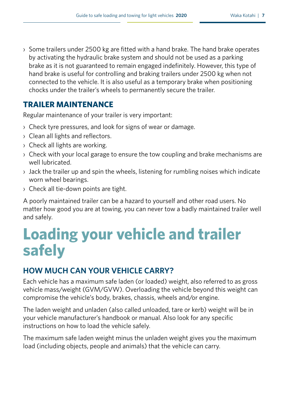› Some trailers under 2500 kg are fitted with a hand brake. The hand brake operates by activating the hydraulic brake system and should not be used as a parking brake as it is not guaranteed to remain engaged indefinitely. However, this type of hand brake is useful for controlling and braking trailers under 2500 kg when not connected to the vehicle. It is also useful as a temporary brake when positioning chocks under the trailer's wheels to permanently secure the trailer.

## **TRAILER MAINTENANCE**

Regular maintenance of your trailer is very important:

- › Check tyre pressures, and look for signs of wear or damage.
- › Clean all lights and reflectors.
- › Check all lights are working.
- › Check with your local garage to ensure the tow coupling and brake mechanisms are well lubricated.
- $\rightarrow$  Jack the trailer up and spin the wheels, listening for rumbling noises which indicate worn wheel bearings.
- › Check all tie-down points are tight.

A poorly maintained trailer can be a hazard to yourself and other road users. No matter how good you are at towing, you can never tow a badly maintained trailer well and safely.

## **Loading your vehicle and trailer safely**

## **HOW MUCH CAN YOUR VEHICLE CARRY?**

Each vehicle has a maximum safe laden (or loaded) weight, also referred to as gross vehicle mass/weight (GVM/GVW). Overloading the vehicle beyond this weight can compromise the vehicle's body, brakes, chassis, wheels and/or engine.

The laden weight and unladen (also called unloaded, tare or kerb) weight will be in your vehicle manufacturer's handbook or manual. Also look for any specific instructions on how to load the vehicle safely.

The maximum safe laden weight minus the unladen weight gives you the maximum load (including objects, people and animals) that the vehicle can carry.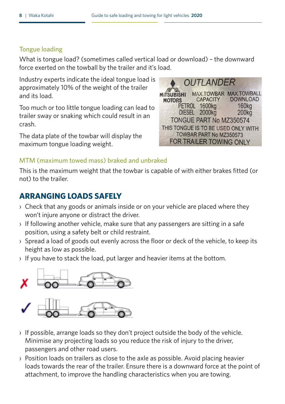#### Tongue loading

What is tongue load? (sometimes called vertical load or download) – the downward force exerted on the towball by the trailer and it's load.

Industry experts indicate the ideal tongue load is approximately 10% of the weight of the trailer and its load.

Too much or too little tongue loading can lead to trailer sway or snaking which could result in an crash.

The data plate of the towbar will display the maximum tongue loading weight.

**OUTI ANDER** MAX.TOWBAR MAX.TOWBALL **MITSUBISHI DOWNLOAD CAPACITY MOTORS** PETROL 1600kg **160kg** DIESEL 2000kg 200ka TONGUE PART No M7350574 THIS TONGUE IS TO BE USED ONLY WITH TOWBAR PART No MZ350573 FOR TRAILER TOWING ONLY

#### MTM (maximum towed mass) braked and unbraked

This is the maximum weight that the towbar is capable of with either brakes fitted (or not) to the trailer.

## **ARRANGING LOADS SAFELY**

- › Check that any goods or animals inside or on your vehicle are placed where they won't injure anyone or distract the driver.
- › If following another vehicle, make sure that any passengers are sitting in a safe position, using a safety belt or child restraint.
- › Spread a load of goods out evenly across the floor or deck of the vehicle, to keep its height as low as possible.
- › If you have to stack the load, put larger and heavier items at the bottom.



- › If possible, arrange loads so they don't project outside the body of the vehicle. Minimise any projecting loads so you reduce the risk of injury to the driver, passengers and other road users.
- › Position loads on trailers as close to the axle as possible. Avoid placing heavier loads towards the rear of the trailer. Ensure there is a downward force at the point of attachment, to improve the handling characteristics when you are towing.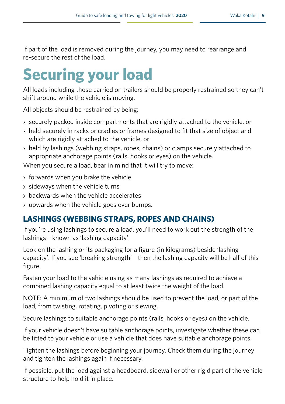If part of the load is removed during the journey, you may need to rearrange and re-secure the rest of the load.

# **Securing your load**

All loads including those carried on trailers should be properly restrained so they can't shift around while the vehicle is moving.

All objects should be restrained by being:

- › securely packed inside compartments that are rigidly attached to the vehicle, or
- › held securely in racks or cradles or frames designed to fit that size of object and which are rigidly attached to the vehicle, or
- › held by lashings (webbing straps, ropes, chains) or clamps securely attached to appropriate anchorage points (rails, hooks or eyes) on the vehicle.

When you secure a load, bear in mind that it will try to move:

- › forwards when you brake the vehicle
- › sideways when the vehicle turns
- › backwards when the vehicle accelerates
- › upwards when the vehicle goes over bumps.

## **LASHINGS (WEBBING STRAPS, ROPES AND CHAINS)**

If you're using lashings to secure a load, you'll need to work out the strength of the lashings – known as 'lashing capacity'.

Look on the lashing or its packaging for a figure (in kilograms) beside 'lashing capacity'. If you see 'breaking strength' – then the lashing capacity will be half of this figure.

Fasten your load to the vehicle using as many lashings as required to achieve a combined lashing capacity equal to at least twice the weight of the load.

NOTE: A minimum of two lashings should be used to prevent the load, or part of the load, from twisting, rotating, pivoting or slewing.

Secure lashings to suitable anchorage points (rails, hooks or eyes) on the vehicle.

If your vehicle doesn't have suitable anchorage points, investigate whether these can be fitted to your vehicle or use a vehicle that does have suitable anchorage points.

Tighten the lashings before beginning your journey. Check them during the journey and tighten the lashings again if necessary.

If possible, put the load against a headboard, sidewall or other rigid part of the vehicle structure to help hold it in place.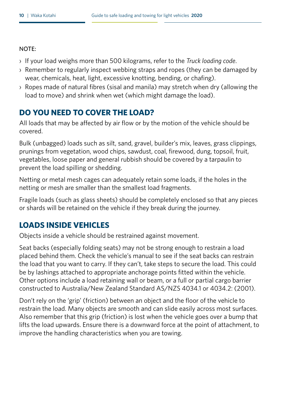#### NOTE:

- › If your load weighs more than 500 kilograms, refer to the *Truck loading code*.
- › Remember to regularly inspect webbing straps and ropes (they can be damaged by wear, chemicals, heat, light, excessive knotting, bending, or chafing).
- › Ropes made of natural fibres (sisal and manila) may stretch when dry (allowing the load to move) and shrink when wet (which might damage the load).

## **DO YOU NEED TO COVER THE LOAD?**

All loads that may be affected by air flow or by the motion of the vehicle should be covered.

Bulk (unbagged) loads such as silt, sand, gravel, builder's mix, leaves, grass clippings, prunings from vegetation, wood chips, sawdust, coal, firewood, dung, topsoil, fruit, vegetables, loose paper and general rubbish should be covered by a tarpaulin to prevent the load spilling or shedding.

Netting or metal mesh cages can adequately retain some loads, if the holes in the netting or mesh are smaller than the smallest load fragments.

Fragile loads (such as glass sheets) should be completely enclosed so that any pieces or shards will be retained on the vehicle if they break during the journey.

## **LOADS INSIDE VEHICLES**

Objects inside a vehicle should be restrained against movement.

Seat backs (especially folding seats) may not be strong enough to restrain a load placed behind them. Check the vehicle's manual to see if the seat backs can restrain the load that you want to carry. If they can't, take steps to secure the load. This could be by lashings attached to appropriate anchorage points fitted within the vehicle. Other options include a load retaining wall or beam, or a full or partial cargo barrier constructed to Australia/New Zealand Standard AS/NZS 4034.1 or 4034.2: (2001).

Don't rely on the 'grip' (friction) between an object and the floor of the vehicle to restrain the load. Many objects are smooth and can slide easily across most surfaces. Also remember that this grip (friction) is lost when the vehicle goes over a bump that lifts the load upwards. Ensure there is a downward force at the point of attachment, to improve the handling characteristics when you are towing.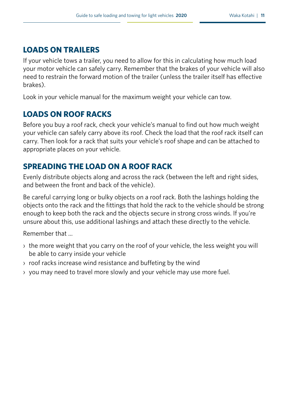## **LOADS ON TRAILERS**

If your vehicle tows a trailer, you need to allow for this in calculating how much load your motor vehicle can safely carry. Remember that the brakes of your vehicle will also need to restrain the forward motion of the trailer (unless the trailer itself has effective brakes).

Look in your vehicle manual for the maximum weight your vehicle can tow.

## **LOADS ON ROOF RACKS**

Before you buy a roof rack, check your vehicle's manual to find out how much weight your vehicle can safely carry above its roof. Check the load that the roof rack itself can carry. Then look for a rack that suits your vehicle's roof shape and can be attached to appropriate places on your vehicle.

## **SPREADING THE LOAD ON A ROOF RACK**

Evenly distribute objects along and across the rack (between the left and right sides, and between the front and back of the vehicle).

Be careful carrying long or bulky objects on a roof rack. Both the lashings holding the objects onto the rack and the fittings that hold the rack to the vehicle should be strong enough to keep both the rack and the objects secure in strong cross winds. If you're unsure about this, use additional lashings and attach these directly to the vehicle.

Remember that

- › the more weight that you carry on the roof of your vehicle, the less weight you will be able to carry inside your vehicle
- › roof racks increase wind resistance and buffeting by the wind
- › you may need to travel more slowly and your vehicle may use more fuel.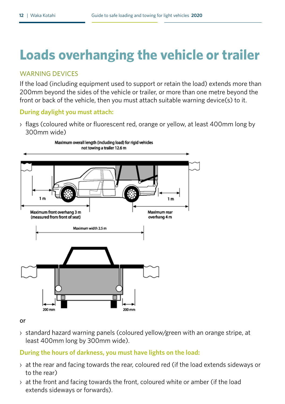## **Loads overhanging the vehicle or trailer**

#### WARNING DEVICES

If the load (including equipment used to support or retain the load) extends more than 200mm beyond the sides of the vehicle or trailer, or more than one metre beyond the front or back of the vehicle, then you must attach suitable warning device(s) to it.

#### **During daylight you must attach:**

› flags (coloured white or fluorescent red, orange or yellow, at least 400mm long by 300mm wide)



#### or

› standard hazard warning panels (coloured yellow/green with an orange stripe, at least 400mm long by 300mm wide).

#### **During the hours of darkness, you must have lights on the load:**

- › at the rear and facing towards the rear, coloured red (if the load extends sideways or to the rear)
- › at the front and facing towards the front, coloured white or amber (if the load extends sideways or forwards).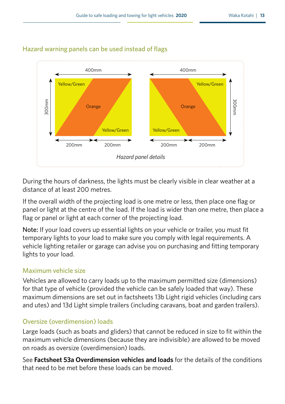

#### Hazard warning panels can be used instead of flags

During the hours of darkness, the lights must be clearly visible in clear weather at a distance of at least 200 metres.

If the overall width of the projecting load is one metre or less, then place one flag or panel or light at the centre of the load. If the load is wider than one metre, then place a flag or panel or light at each corner of the projecting load.

Note: If your load covers up essential lights on your vehicle or trailer, you must fit temporary lights to your load to make sure you comply with legal requirements. A vehicle lighting retailer or garage can advise you on purchasing and fitting temporary lights to your load.

#### Maximum vehicle size

Vehicles are allowed to carry loads up to the maximum permitted size (dimensions) for that type of vehicle (provided the vehicle can be safely loaded that way). These maximum dimensions are set out in factsheets 13b Light rigid vehicles (including cars and utes) and 13d Light simple trailers (including caravans, boat and garden trailers).

#### Oversize (overdimension) loads

Large loads (such as boats and gliders) that cannot be reduced in size to fit within the maximum vehicle dimensions (because they are indivisible) are allowed to be moved on roads as oversize (overdimension) loads.

See **[Factsheet 53a Overdimension vehicles and loads](http://www.nzta.govt.nz/assets/resources/factsheets/53/docs/53-overdimension.pdf)** for the details of the conditions that need to be met before these loads can be moved.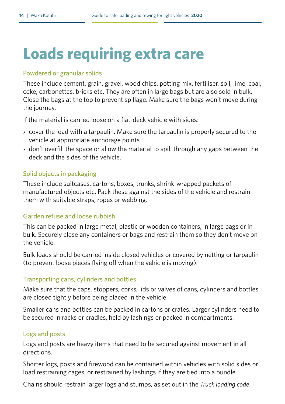# **Loads requiring extra care**

#### Powdered or granular solids

These include cement, grain, gravel, wood chips, potting mix, fertiliser, soil, lime, coal, coke, carbonettes, bricks etc. They are often in large bags but are also sold in bulk. Close the bags at the top to prevent spillage. Make sure the bags won't move during the journey.

If the material is carried loose on a flat-deck vehicle with sides:

- › cover the load with a tarpaulin. Make sure the tarpaulin is properly secured to the vehicle at appropriate anchorage points
- › don't overfill the space or allow the material to spill through any gaps between the deck and the sides of the vehicle.

#### Solid objects in packaging

These include suitcases, cartons, boxes, trunks, shrink-wrapped packets of manufactured objects etc. Pack these against the sides of the vehicle and restrain them with suitable straps, ropes or webbing.

#### Garden refuse and loose rubbish

This can be packed in large metal, plastic or wooden containers, in large bags or in bulk. Securely close any containers or bags and restrain them so they don't move on the vehicle.

Bulk loads should be carried inside closed vehicles or covered by netting or tarpaulin (to prevent loose pieces flying off when the vehicle is moving).

#### Transporting cans, cylinders and bottles

Make sure that the caps, stoppers, corks, lids or valves of cans, cylinders and bottles are closed tightly before being placed in the vehicle.

Smaller cans and bottles can be packed in cartons or crates. Larger cylinders need to be secured in racks or cradles, held by lashings or packed in compartments.

#### Logs and posts

Logs and posts are heavy items that need to be secured against movement in all directions.

Shorter logs, posts and firewood can be contained within vehicles with solid sides or load restraining cages, or restrained by lashings if they are tied into a bundle.

Chains should restrain larger logs and stumps, as set out in the *Truck loading code*.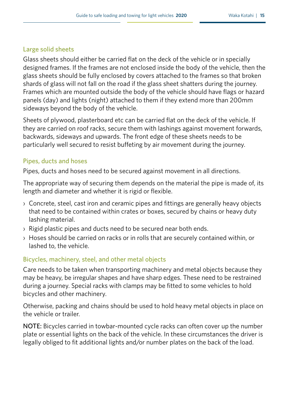#### Large solid sheets

Glass sheets should either be carried flat on the deck of the vehicle or in specially designed frames. If the frames are not enclosed inside the body of the vehicle, then the glass sheets should be fully enclosed by covers attached to the frames so that broken shards of glass will not fall on the road if the glass sheet shatters during the journey. Frames which are mounted outside the body of the vehicle should have flags or hazard panels (day) and lights (night) attached to them if they extend more than 200mm sideways beyond the body of the vehicle.

Sheets of plywood, plasterboard etc can be carried flat on the deck of the vehicle. If they are carried on roof racks, secure them with lashings against movement forwards, backwards, sideways and upwards. The front edge of these sheets needs to be particularly well secured to resist buffeting by air movement during the journey.

#### Pipes, ducts and hoses

Pipes, ducts and hoses need to be secured against movement in all directions.

The appropriate way of securing them depends on the material the pipe is made of, its length and diameter and whether it is rigid or flexible.

- › Concrete, steel, cast iron and ceramic pipes and fittings are generally heavy objects that need to be contained within crates or boxes, secured by chains or heavy duty lashing material.
- › Rigid plastic pipes and ducts need to be secured near both ends.
- › Hoses should be carried on racks or in rolls that are securely contained within, or lashed to, the vehicle.

#### Bicycles, machinery, steel, and other metal objects

Care needs to be taken when transporting machinery and metal objects because they may be heavy, be irregular shapes and have sharp edges. These need to be restrained during a journey. Special racks with clamps may be fitted to some vehicles to hold bicycles and other machinery.

Otherwise, packing and chains should be used to hold heavy metal objects in place on the vehicle or trailer.

NOTE: Bicycles carried in towbar-mounted cycle racks can often cover up the number plate or essential lights on the back of the vehicle. In these circumstances the driver is legally obliged to fit additional lights and/or number plates on the back of the load.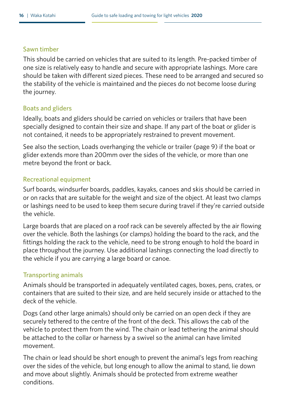#### Sawn timber

This should be carried on vehicles that are suited to its length. Pre-packed timber of one size is relatively easy to handle and secure with appropriate lashings. More care should be taken with different sized pieces. These need to be arranged and secured so the stability of the vehicle is maintained and the pieces do not become loose during the journey.

#### Boats and gliders

Ideally, boats and gliders should be carried on vehicles or trailers that have been specially designed to contain their size and shape. If any part of the boat or glider is not contained, it needs to be appropriately restrained to prevent movement.

See also the section, Loads overhanging the vehicle or trailer (page 9) if the boat or glider extends more than 200mm over the sides of the vehicle, or more than one metre beyond the front or back.

#### Recreational equipment

Surf boards, windsurfer boards, paddles, kayaks, canoes and skis should be carried in or on racks that are suitable for the weight and size of the object. At least two clamps or lashings need to be used to keep them secure during travel if they're carried outside the vehicle.

Large boards that are placed on a roof rack can be severely affected by the air flowing over the vehicle. Both the lashings (or clamps) holding the board to the rack, and the fittings holding the rack to the vehicle, need to be strong enough to hold the board in place throughout the journey. Use additional lashings connecting the load directly to the vehicle if you are carrying a large board or canoe.

#### Transporting animals

Animals should be transported in adequately ventilated cages, boxes, pens, crates, or containers that are suited to their size, and are held securely inside or attached to the deck of the vehicle.

Dogs (and other large animals) should only be carried on an open deck if they are securely tethered to the centre of the front of the deck. This allows the cab of the vehicle to protect them from the wind. The chain or lead tethering the animal should be attached to the collar or harness by a swivel so the animal can have limited movement.

The chain or lead should be short enough to prevent the animal's legs from reaching over the sides of the vehicle, but long enough to allow the animal to stand, lie down and move about slightly. Animals should be protected from extreme weather conditions.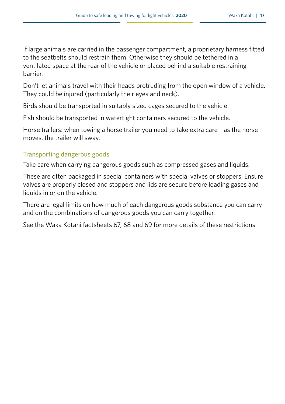If large animals are carried in the passenger compartment, a proprietary harness fitted to the seatbelts should restrain them. Otherwise they should be tethered in a ventilated space at the rear of the vehicle or placed behind a suitable restraining barrier.

Don't let animals travel with their heads protruding from the open window of a vehicle. They could be injured (particularly their eyes and neck).

Birds should be transported in suitably sized cages secured to the vehicle.

Fish should be transported in watertight containers secured to the vehicle.

Horse trailers: when towing a horse trailer you need to take extra care – as the horse moves, the trailer will sway.

#### Transporting dangerous goods

Take care when carrying dangerous goods such as compressed gases and liquids.

These are often packaged in special containers with special valves or stoppers. Ensure valves are properly closed and stoppers and lids are secure before loading gases and liquids in or on the vehicle.

There are legal limits on how much of each dangerous goods substance you can carry and on the combinations of dangerous goods you can carry together.

See the Waka Kotahi factsheets 67, 68 and 69 for more details of these restrictions.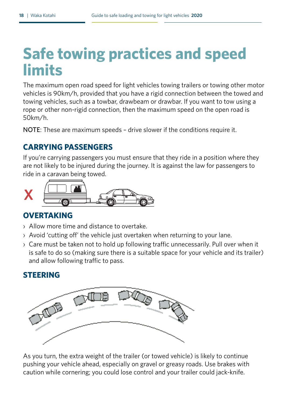# **Safe towing practices and speed limits**

The maximum open road speed for light vehicles towing trailers or towing other motor vehicles is 90km/h, provided that you have a rigid connection between the towed and towing vehicles, such as a towbar, drawbeam or drawbar. If you want to tow using a rope or other non-rigid connection, then the maximum speed on the open road is 50km/h.

NOTE: These are maximum speeds – drive slower if the conditions require it.

## **CARRYING PASSENGERS**

If you're carrying passengers you must ensure that they ride in a position where they are not likely to be injured during the journey. It is against the law for passengers to ride in a caravan being towed.



## **OVERTAKING**

- › Allow more time and distance to overtake.
- › Avoid 'cutting off' the vehicle just overtaken when returning to your lane.
- › Care must be taken not to hold up following traffic unnecessarily. Pull over when it is safe to do so (making sure there is a suitable space for your vehicle and its trailer) and allow following traffic to pass.

## **STEERING**



As you turn, the extra weight of the trailer (or towed vehicle) is likely to continue pushing your vehicle ahead, especially on gravel or greasy roads. Use brakes with caution while cornering; you could lose control and your trailer could jack-knife.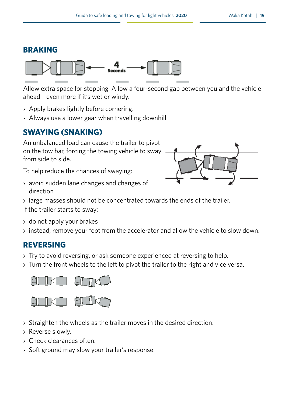### **BRAKING**



Allow extra space for stopping. Allow a four-second gap between you and the vehicle ahead – even more if it's wet or windy.

- › Apply brakes lightly before cornering.
- › Always use a lower gear when travelling downhill.

## **SWAYING (SNAKING)**

An unbalanced load can cause the trailer to pivot on the tow bar, forcing the towing vehicle to sway from side to side.

To help reduce the chances of swaying:

› avoid sudden lane changes and changes of direction



› large masses should not be concentrated towards the ends of the trailer.

If the trailer starts to sway:

- › do not apply your brakes
- › instead, remove your foot from the accelerator and allow the vehicle to slow down.

## **REVERSING**

- › Try to avoid reversing, or ask someone experienced at reversing to help.
- › Turn the front wheels to the left to pivot the trailer to the right and vice versa.



- › Straighten the wheels as the trailer moves in the desired direction.
- › Reverse slowly.
- › Check clearances often.
- › Soft ground may slow your trailer's response.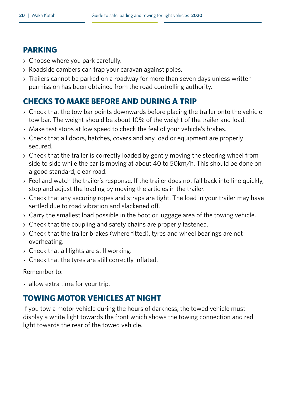#### **PARKING**

- › Choose where you park carefully.
- › Roadside cambers can trap your caravan against poles.
- › Trailers cannot be parked on a roadway for more than seven days unless written permission has been obtained from the road controlling authority.

## **CHECKS TO MAKE BEFORE AND DURING A TRIP**

- › Check that the tow bar points downwards before placing the trailer onto the vehicle tow bar. The weight should be about 10% of the weight of the trailer and load.
- › Make test stops at low speed to check the feel of your vehicle's brakes.
- › Check that all doors, hatches, covers and any load or equipment are properly secured.
- › Check that the trailer is correctly loaded by gently moving the steering wheel from side to side while the car is moving at about 40 to 50km/h. This should be done on a good standard, clear road.
- › Feel and watch the trailer's response. If the trailer does not fall back into line quickly, stop and adjust the loading by moving the articles in the trailer.
- › Check that any securing ropes and straps are tight. The load in your trailer may have settled due to road vibration and slackened off.
- › Carry the smallest load possible in the boot or luggage area of the towing vehicle.
- › Check that the coupling and safety chains are properly fastened.
- › Check that the trailer brakes (where fitted), tyres and wheel bearings are not overheating.
- › Check that all lights are still working.
- › Check that the tyres are still correctly inflated.

#### Remember to:

› allow extra time for your trip.

## **TOWING MOTOR VEHICLES AT NIGHT**

If you tow a motor vehicle during the hours of darkness, the towed vehicle must display a white light towards the front which shows the towing connection and red light towards the rear of the towed vehicle.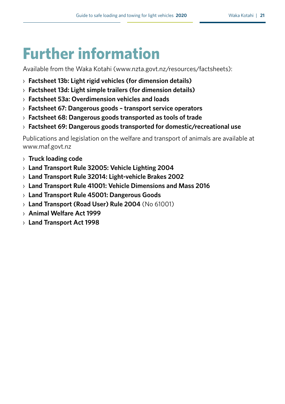# **Further information**

Available from the Waka Kotahi (www.nzta.govt.nz/resources/factsheets):

- › **[Factsheet 13b: Light rigid vehicles \(for dimension details\)](http://www.nzta.govt.nz/resources/factsheets/13b/)**
- › **[Factsheet 13d: Light simple trailers \(for dimension details\)](http://www.nzta.govt.nz/resources/factsheets/13d/)**
- › **[Factsheet 53a: Overdimension vehicles and loads](http://www.nzta.govt.nz/resources/factsheets/53/)**
- › **[Factsheet 67: Dangerous goods transport service operators](http://www.nzta.govt.nz/resources/factsheets/67/)**
- › **[Factsheet 68: Dangerous goods transported as tools of trade](http://http://www.nzta.govt.nz/assets/resources/factsheets/68/docs/68-dangerous-goods-tools-trade.pdf)**
- › **[Factsheet 69: Dangerous goods transported for domestic/recreational use](http://www.nzta.govt.nz/assets/resources/factsheets/69/docs/69-dangerous-goods.pdf)**

Publications and legislation on the welfare and transport of animals are available at www.maf.govt.nz

- › **[Truck loading code](http://www.nzta.govt.nz/resources/roadcode/heavy-vehicle-road-code/tlc-general-requirements/)**
- › **[Land Transport Rule 32005: Vehicle Lighting 2004](http://www.nzta.govt.nz/resources/rules/vehicle-lighting-2004-index/)**
- › **[Land Transport Rule 32014: Light-vehicle Brakes 2002](http://www.nzta.govt.nz/resources/rules/light-vehicle-brakes-2002-index/)**
- › **[Land Transport Rule 41001: Vehicle Dimensions and Mass 2016](http://www.nzta.govt.nz/resources/rules/land-transport-rule-vehicle-dimensions-and-mass-2016-index/)**
- › **[Land Transport Rule 45001: Dangerous Goods](http://www.nzta.govt.nz/resources/rules/dangerous-goods-2005-index/)**
- › **[Land Transport \(Road User\) Rule 2004](http://www.nzta.govt.nz/resources/rules/road-user-2004-index/)** (No 61001)
- › **[Animal Welfare Act 1999](http://www.legislation.govt.nz/act/public/1999/0142/latest/DLM49664.html?search=ts_act%40bill%40regulation%40deemedreg_animal+welfare+act+1999_resel_25_a&p=1)**
- › **[Land Transport Act 1998](http://www.legislation.govt.nz/act/public/1998/0110/latest/DLM433613.html)**